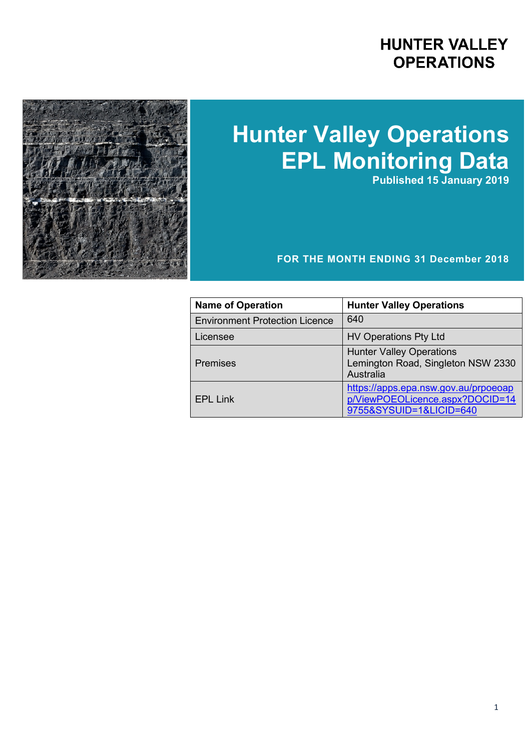## **HUNTER VALLEY OPERATIONS**



# **Hunter Valley Operations EPL Monitoring Data**

**Published 15 January 2019**

#### **FOR THE MONTH ENDING 31 December 2018**

| <b>Name of Operation</b>              | <b>Hunter Valley Operations</b>                                                                    |
|---------------------------------------|----------------------------------------------------------------------------------------------------|
| <b>Environment Protection Licence</b> | 640                                                                                                |
| Licensee                              | <b>HV Operations Pty Ltd</b>                                                                       |
| <b>Premises</b>                       | <b>Hunter Valley Operations</b><br>Lemington Road, Singleton NSW 2330<br>Australia                 |
| <b>EPL Link</b>                       | https://apps.epa.nsw.gov.au/prpoeoap<br>p/ViewPOEOLicence.aspx?DOCID=14<br>9755&SYSUID=1&LICID=640 |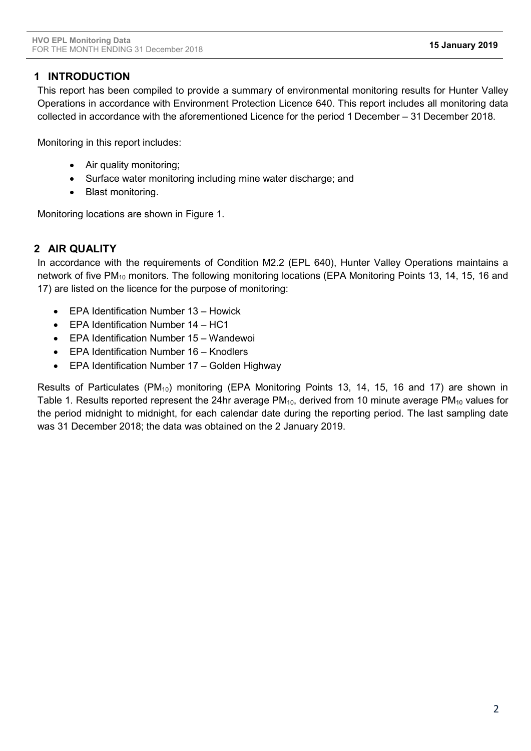#### **1 INTRODUCTION**

This report has been compiled to provide a summary of environmental monitoring results for Hunter Valley Operations in accordance with Environment Protection Licence 640. This report includes all monitoring data collected in accordance with the aforementioned Licence for the period 1 December – 31 December 2018.

Monitoring in this report includes:

- Air quality monitoring;
- Surface water monitoring including mine water discharge; and
- Blast monitoring.

Monitoring locations are shown in Figure 1.

#### **2 AIR QUALITY**

In accordance with the requirements of Condition M2.2 (EPL 640), Hunter Valley Operations maintains a network of five PM<sub>10</sub> monitors. The following monitoring locations (EPA Monitoring Points 13, 14, 15, 16 and 17) are listed on the licence for the purpose of monitoring:

- EPA Identification Number 13 Howick
- EPA Identification Number 14 HC1
- EPA Identification Number 15 Wandewoi
- EPA Identification Number 16 Knodlers
- EPA Identification Number 17 Golden Highway

Results of Particulates (PM<sub>10</sub>) monitoring (EPA Monitoring Points 13, 14, 15, 16 and 17) are shown in Table 1. Results reported represent the 24hr average  $PM_{10}$ , derived from 10 minute average  $PM_{10}$  values for the period midnight to midnight, for each calendar date during the reporting period. The last sampling date was 31 December 2018; the data was obtained on the 2 January 2019.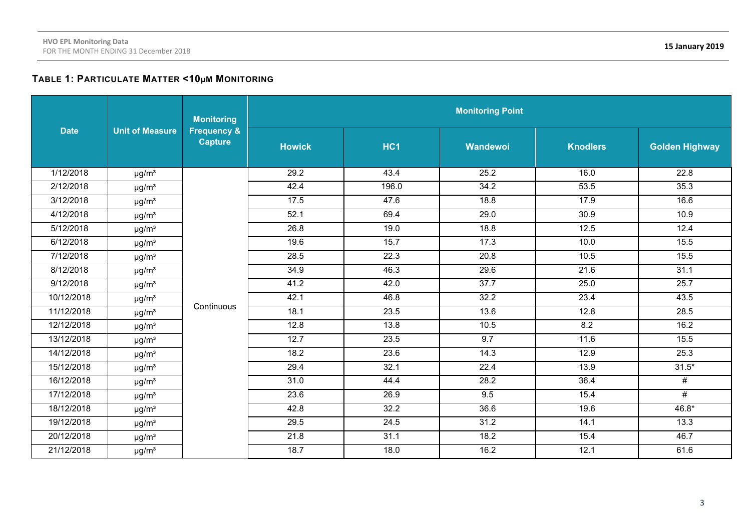#### **TABLE 1: PARTICULATE MATTER <10µM MONITORING**

|             |                        | <b>Monitoring</b>                        | <b>Monitoring Point</b> |                 |                   |                 |                       |  |  |
|-------------|------------------------|------------------------------------------|-------------------------|-----------------|-------------------|-----------------|-----------------------|--|--|
| <b>Date</b> | <b>Unit of Measure</b> | <b>Frequency &amp;</b><br><b>Capture</b> | <b>Howick</b>           | HC <sub>1</sub> | Wandewoi          | <b>Knodlers</b> | <b>Golden Highway</b> |  |  |
| 1/12/2018   | $\mu$ g/m <sup>3</sup> |                                          | 29.2                    | 43.4            | 25.2              | 16.0            | 22.8                  |  |  |
| 2/12/2018   | $\mu$ g/m <sup>3</sup> |                                          | 42.4                    | 196.0           | 34.2              | 53.5            | 35.3                  |  |  |
| 3/12/2018   | $\mu$ g/m <sup>3</sup> |                                          | 17.5                    | 47.6            | 18.8              | 17.9            | 16.6                  |  |  |
| 4/12/2018   | $\mu$ g/m <sup>3</sup> |                                          | 52.1                    | 69.4            | 29.0              | 30.9            | 10.9                  |  |  |
| 5/12/2018   | $\mu$ g/m <sup>3</sup> |                                          | 26.8                    | 19.0            | 18.8              | 12.5            | 12.4                  |  |  |
| 6/12/2018   | $\mu$ g/m <sup>3</sup> |                                          | 19.6                    | 15.7            | 17.3              | 10.0            | 15.5                  |  |  |
| 7/12/2018   | $\mu$ g/m <sup>3</sup> |                                          | 28.5                    | 22.3            | 20.8              | 10.5            | 15.5                  |  |  |
| 8/12/2018   | $\mu$ g/m <sup>3</sup> |                                          | 34.9                    | 46.3            | 29.6              | 21.6            | 31.1                  |  |  |
| 9/12/2018   | $\mu$ g/m <sup>3</sup> |                                          | 41.2                    | 42.0            | $\overline{37.7}$ | 25.0            | 25.7                  |  |  |
| 10/12/2018  | $\mu$ g/m <sup>3</sup> |                                          | 42.1                    | 46.8            | 32.2              | 23.4            | 43.5                  |  |  |
| 11/12/2018  | $\mu$ g/m <sup>3</sup> | Continuous                               | 18.1                    | 23.5            | 13.6              | 12.8            | 28.5                  |  |  |
| 12/12/2018  | $\mu$ g/m <sup>3</sup> |                                          | 12.8                    | 13.8            | 10.5              | 8.2             | 16.2                  |  |  |
| 13/12/2018  | $\mu$ g/m <sup>3</sup> |                                          | 12.7                    | 23.5            | 9.7               | 11.6            | 15.5                  |  |  |
| 14/12/2018  | $\mu$ g/m <sup>3</sup> |                                          | 18.2                    | 23.6            | 14.3              | 12.9            | 25.3                  |  |  |
| 15/12/2018  | $\mu$ g/m <sup>3</sup> |                                          | 29.4                    | 32.1            | 22.4              | 13.9            | $31.5*$               |  |  |
| 16/12/2018  | $\mu$ g/m <sup>3</sup> |                                          | 31.0                    | 44.4            | 28.2              | 36.4            | #                     |  |  |
| 17/12/2018  | $\mu$ g/m <sup>3</sup> |                                          | 23.6                    | 26.9            | 9.5               | 15.4            | #                     |  |  |
| 18/12/2018  | $\mu$ g/m <sup>3</sup> |                                          | 42.8                    | 32.2            | 36.6              | 19.6            | 46.8*                 |  |  |
| 19/12/2018  | $\mu$ g/m <sup>3</sup> |                                          | 29.5                    | 24.5            | 31.2              | 14.1            | 13.3                  |  |  |
| 20/12/2018  | $\mu$ g/m <sup>3</sup> |                                          | 21.8                    | 31.1            | 18.2              | 15.4            | 46.7                  |  |  |
| 21/12/2018  | $\mu$ g/m <sup>3</sup> |                                          | 18.7                    | 18.0            | 16.2              | 12.1            | 61.6                  |  |  |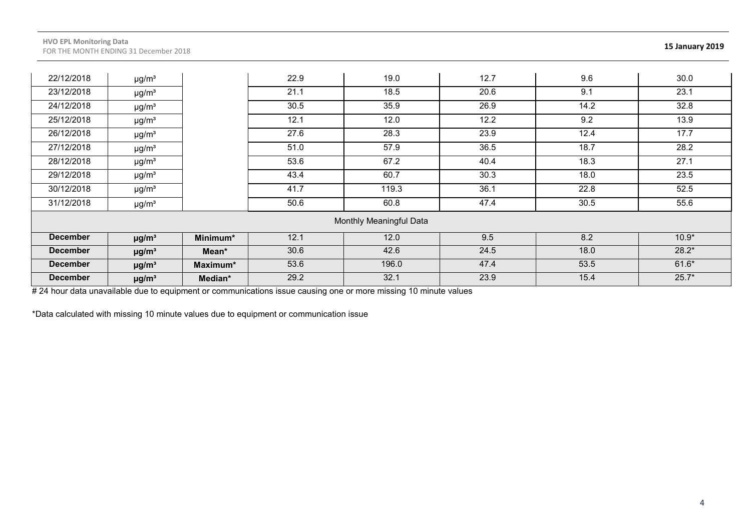| 22/12/2018      | $\mu$ g/m <sup>3</sup> |          | 22.9 | 19.0                    | 12.7 | 9.6  | 30.0    |
|-----------------|------------------------|----------|------|-------------------------|------|------|---------|
| 23/12/2018      | $\mu$ g/m <sup>3</sup> |          | 21.1 | 18.5                    | 20.6 | 9.1  | 23.1    |
| 24/12/2018      | $\mu$ g/m <sup>3</sup> |          | 30.5 | 35.9                    | 26.9 | 14.2 | 32.8    |
| 25/12/2018      | $\mu$ g/m <sup>3</sup> |          | 12.1 | 12.0                    | 12.2 | 9.2  | 13.9    |
| 26/12/2018      | $\mu$ g/m <sup>3</sup> |          | 27.6 | 28.3                    | 23.9 | 12.4 | 17.7    |
| 27/12/2018      | $\mu$ g/m <sup>3</sup> |          | 51.0 | 57.9                    | 36.5 | 18.7 | 28.2    |
| 28/12/2018      | $\mu$ g/m <sup>3</sup> |          | 53.6 | 67.2                    | 40.4 | 18.3 | 27.1    |
| 29/12/2018      | $\mu$ g/m <sup>3</sup> |          | 43.4 | 60.7                    | 30.3 | 18.0 | 23.5    |
| 30/12/2018      | $\mu$ g/m <sup>3</sup> |          | 41.7 | 119.3                   | 36.1 | 22.8 | 52.5    |
| 31/12/2018      | $\mu$ g/m <sup>3</sup> |          | 50.6 | 60.8                    | 47.4 | 30.5 | 55.6    |
|                 |                        |          |      | Monthly Meaningful Data |      |      |         |
| <b>December</b> | $\mu$ g/m <sup>3</sup> | Minimum* | 12.1 | 12.0                    | 9.5  | 8.2  | $10.9*$ |
| <b>December</b> | $\mu$ g/m <sup>3</sup> | Mean*    | 30.6 | 42.6                    | 24.5 | 18.0 | $28.2*$ |
| <b>December</b> | $\mu$ g/m <sup>3</sup> | Maximum* | 53.6 | 196.0                   | 47.4 | 53.5 | $61.6*$ |
| <b>December</b> | $\mu$ g/m <sup>3</sup> | Median*  | 29.2 | 32.1                    | 23.9 | 15.4 | $25.7*$ |

# 24 hour data unavailable due to equipment or communications issue causing one or more missing 10 minute values

\*Data calculated with missing 10 minute values due to equipment or communication issue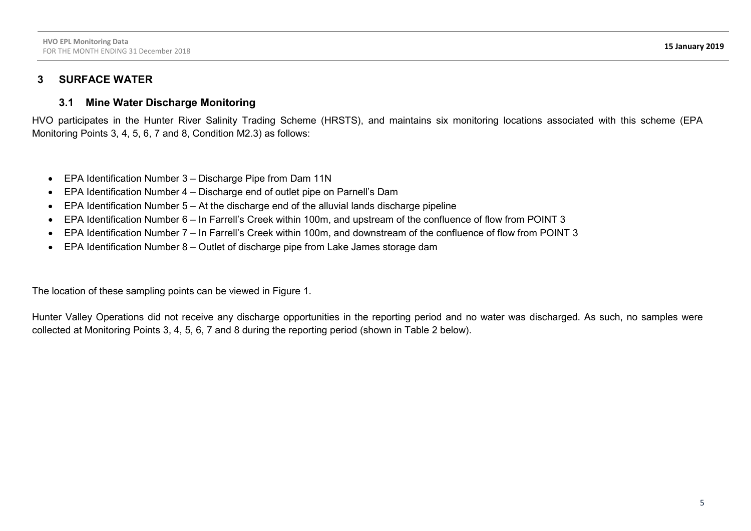### **3 SURFACE WATER**

#### **3.1 Mine Water Discharge Monitoring**

HVO participates in the Hunter River Salinity Trading Scheme (HRSTS), and maintains six monitoring locations associated with this scheme (EPA Monitoring Points 3, 4, 5, 6, 7 and 8, Condition M2.3) as follows:

- EPA Identification Number 3 Discharge Pipe from Dam 11N
- EPA Identification Number 4 Discharge end of outlet pipe on Parnell's Dam
- $\bullet$  EPA Identification Number 5 At the discharge end of the alluvial lands discharge pipeline
- EPA Identification Number 6 In Farrell's Creek within 100m, and upstream of the confluence of flow from POINT 3
- EPA Identification Number 7 In Farrell's Creek within 100m, and downstream of the confluence of flow from POINT 3
- EPA Identification Number 8 Outlet of discharge pipe from Lake James storage dam

The location of these sampling points can be viewed in Figure 1.

Hunter Valley Operations did not receive any discharge opportunities in the reporting period and no water was discharged. As such, no samples were collected at Monitoring Points 3, 4, 5, 6, 7 and 8 during the reporting period (shown in Table 2 below).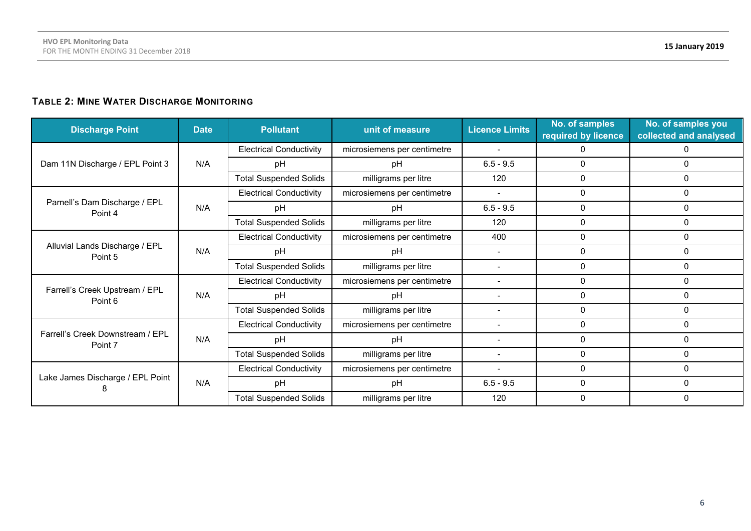#### **TABLE 2: MINE WATER DISCHARGE MONITORING**

| <b>Discharge Point</b>                      | <b>Date</b> | <b>Pollutant</b>               | unit of measure             | <b>Licence Limits</b>    | No. of samples<br>required by licence | No. of samples you<br>collected and analysed |
|---------------------------------------------|-------------|--------------------------------|-----------------------------|--------------------------|---------------------------------------|----------------------------------------------|
|                                             |             | <b>Electrical Conductivity</b> | microsiemens per centimetre |                          | 0                                     |                                              |
| Dam 11N Discharge / EPL Point 3             | N/A         | pH                             | pH                          | $6.5 - 9.5$              | 0                                     | 0                                            |
|                                             |             | <b>Total Suspended Solids</b>  | milligrams per litre        | 120                      | 0                                     | $\Omega$                                     |
| Parnell's Dam Discharge / EPL               |             | <b>Electrical Conductivity</b> | microsiemens per centimetre | $\overline{\phantom{a}}$ | 0                                     | 0                                            |
| Point 4                                     | N/A         | рH                             | pH                          | $6.5 - 9.5$              | 0                                     | $\Omega$                                     |
|                                             |             | <b>Total Suspended Solids</b>  | milligrams per litre        | 120                      | 0                                     | 0                                            |
| Alluvial Lands Discharge / EPL<br>Point 5   | N/A         | <b>Electrical Conductivity</b> | microsiemens per centimetre | 400                      | 0                                     | $\Omega$                                     |
|                                             |             | pH                             | pH                          | $\blacksquare$           | 0                                     | $\Omega$                                     |
|                                             |             | <b>Total Suspended Solids</b>  | milligrams per litre        |                          | 0                                     | 0                                            |
| Farrell's Creek Upstream / EPL<br>Point 6   | N/A         | <b>Electrical Conductivity</b> | microsiemens per centimetre | $\overline{\phantom{a}}$ | 0                                     | $\Omega$                                     |
|                                             |             | рH                             | pH                          |                          | 0                                     | $\Omega$                                     |
|                                             |             | <b>Total Suspended Solids</b>  | milligrams per litre        | $\overline{\phantom{a}}$ | 0                                     | 0                                            |
|                                             |             | <b>Electrical Conductivity</b> | microsiemens per centimetre | $\overline{\phantom{a}}$ | 0                                     | $\Omega$                                     |
| Farrell's Creek Downstream / EPL<br>Point 7 | N/A         | pH                             | pH                          | $\blacksquare$           | 0                                     | $\Omega$                                     |
|                                             |             | <b>Total Suspended Solids</b>  | milligrams per litre        | $\overline{\phantom{a}}$ | 0                                     | $\Omega$                                     |
|                                             |             | <b>Electrical Conductivity</b> | microsiemens per centimetre |                          | 0                                     | $\Omega$                                     |
| Lake James Discharge / EPL Point            | N/A         | pH                             | pH                          | $6.5 - 9.5$              | 0                                     | $\Omega$                                     |
|                                             |             | <b>Total Suspended Solids</b>  | milligrams per litre        | 120                      | 0                                     | $\Omega$                                     |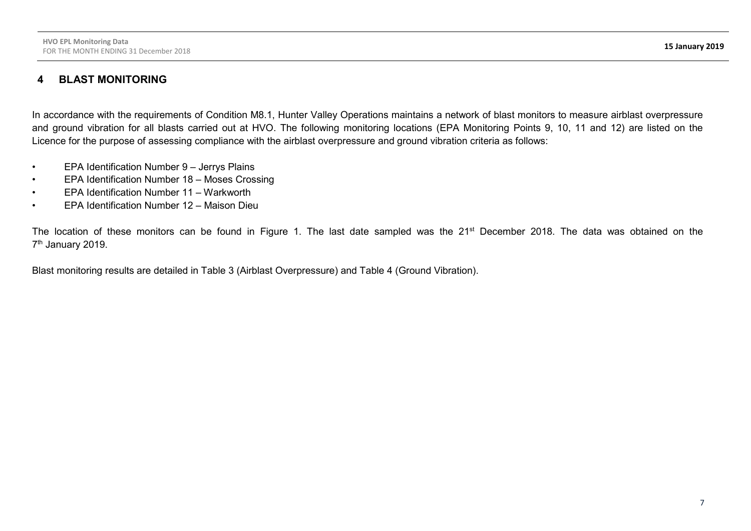#### **4 BLAST MONITORING**

In accordance with the requirements of Condition M8.1, Hunter Valley Operations maintains a network of blast monitors to measure airblast overpressure and ground vibration for all blasts carried out at HVO. The following monitoring locations (EPA Monitoring Points 9, 10, 11 and 12) are listed on the Licence for the purpose of assessing compliance with the airblast overpressure and ground vibration criteria as follows:

- EPA Identification Number 9 Jerrys Plains
- EPA Identification Number 18 Moses Crossing
- EPA Identification Number 11 Warkworth
- EPA Identification Number 12 Maison Dieu

The location of these monitors can be found in Figure 1. The last date sampled was the 21<sup>st</sup> December 2018. The data was obtained on the 7<sup>th</sup> January 2019.

Blast monitoring results are detailed in Table 3 (Airblast Overpressure) and Table 4 (Ground Vibration).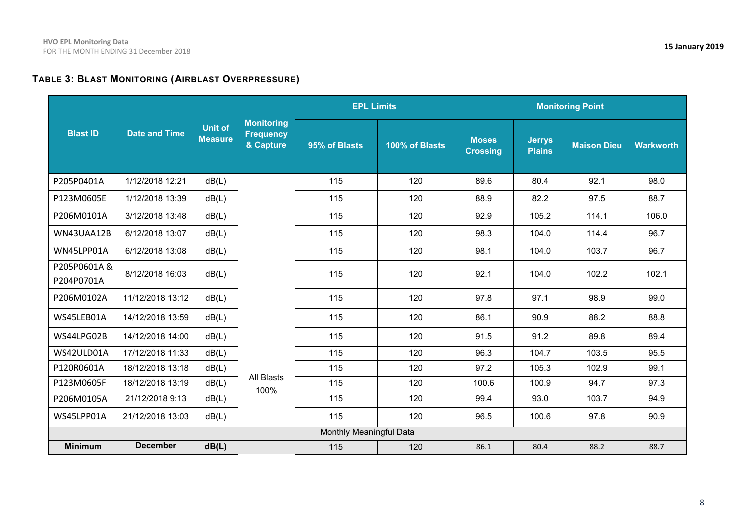#### **TABLE 3: BLAST MONITORING (AIRBLAST OVERPRESSURE)**

|                           |                      |                                  |                                                    | <b>EPL Limits</b><br><b>Monitoring Point</b> |                |                                 |                                |                    |                  |
|---------------------------|----------------------|----------------------------------|----------------------------------------------------|----------------------------------------------|----------------|---------------------------------|--------------------------------|--------------------|------------------|
| <b>Blast ID</b>           | <b>Date and Time</b> | <b>Unit of</b><br><b>Measure</b> | <b>Monitoring</b><br><b>Frequency</b><br>& Capture | 95% of Blasts                                | 100% of Blasts | <b>Moses</b><br><b>Crossing</b> | <b>Jerrys</b><br><b>Plains</b> | <b>Maison Dieu</b> | <b>Warkworth</b> |
| P205P0401A                | 1/12/2018 12:21      | dB(L)                            |                                                    | 115                                          | 120            | 89.6                            | 80.4                           | 92.1               | 98.0             |
| P123M0605E                | 1/12/2018 13:39      | dB(L)                            |                                                    | 115                                          | 120            | 88.9                            | 82.2                           | 97.5               | 88.7             |
| P206M0101A                | 3/12/2018 13:48      | dB(L)                            |                                                    | 115                                          | 120            | 92.9                            | 105.2                          | 114.1              | 106.0            |
| WN43UAA12B                | 6/12/2018 13:07      | dB(L)                            |                                                    | 115                                          | 120            | 98.3                            | 104.0                          | 114.4              | 96.7             |
| WN45LPP01A                | 6/12/2018 13:08      | dB(L)                            |                                                    | 115                                          | 120            | 98.1                            | 104.0                          | 103.7              | 96.7             |
| P205P0601A&<br>P204P0701A | 8/12/2018 16:03      | dB(L)                            |                                                    | 115                                          | 120            | 92.1                            | 104.0                          | 102.2              | 102.1            |
| P206M0102A                | 11/12/2018 13:12     | dB(L)                            |                                                    | 115                                          | 120            | 97.8                            | 97.1                           | 98.9               | 99.0             |
| WS45LEB01A                | 14/12/2018 13:59     | dB(L)                            |                                                    | 115                                          | 120            | 86.1                            | 90.9                           | 88.2               | 88.8             |
| WS44LPG02B                | 14/12/2018 14:00     | dB(L)                            |                                                    | 115                                          | 120            | 91.5                            | 91.2                           | 89.8               | 89.4             |
| WS42ULD01A                | 17/12/2018 11:33     | dB(L)                            |                                                    | 115                                          | 120            | 96.3                            | 104.7                          | 103.5              | 95.5             |
| P120R0601A                | 18/12/2018 13:18     | dB(L)                            |                                                    | 115                                          | 120            | 97.2                            | 105.3                          | 102.9              | 99.1             |
| P123M0605F                | 18/12/2018 13:19     | dB(L)                            | All Blasts<br>100%                                 | 115                                          | 120            | 100.6                           | 100.9                          | 94.7               | 97.3             |
| P206M0105A                | 21/12/2018 9:13      | dB(L)                            |                                                    | 115                                          | 120            | 99.4                            | 93.0                           | 103.7              | 94.9             |
| WS45LPP01A                | 21/12/2018 13:03     | dB(L)                            |                                                    | 115                                          | 120            | 96.5                            | 100.6                          | 97.8               | 90.9             |
|                           |                      |                                  |                                                    | Monthly Meaningful Data                      |                |                                 |                                |                    |                  |
| <b>Minimum</b>            | <b>December</b>      | dB(L)                            |                                                    | 115                                          | 120            | 86.1                            | 80.4                           | 88.2               | 88.7             |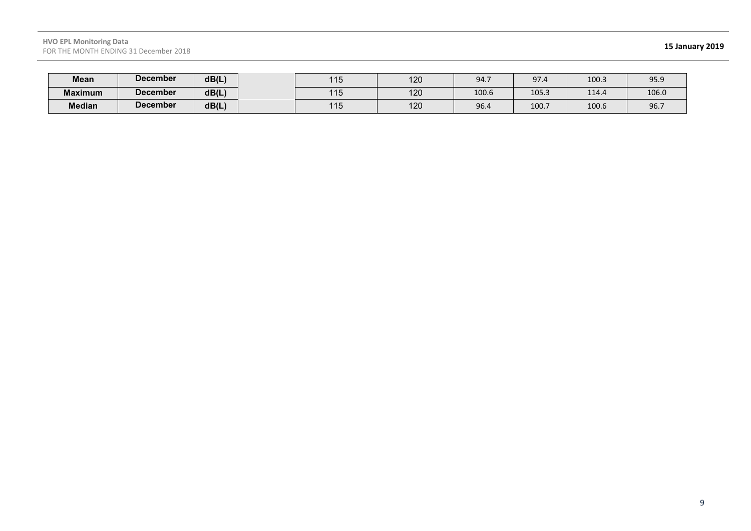#### **HVO EPL Monitoring Data** FOR THE MONTH ENDING 31 December 2018 **15 January 2019**

| Mean           | <b>December</b> | dB(L) | 11F<br>∣∣∪ | 100<br>I∠∪        | 94.7  | 97.4  | 100.3 | 95.9  |
|----------------|-----------------|-------|------------|-------------------|-------|-------|-------|-------|
| <b>Maximum</b> | <b>December</b> | dB(L) | 11F<br>∣∪  | 100<br>I∠∪        | 100.6 | 105.3 | 114.4 | 106.0 |
| <b>Median</b>  | <b>December</b> | dB(L) | 115<br>טוו | $\sqrt{2}$<br>12U | 96.4  | 100.7 | 100.6 | 96.7  |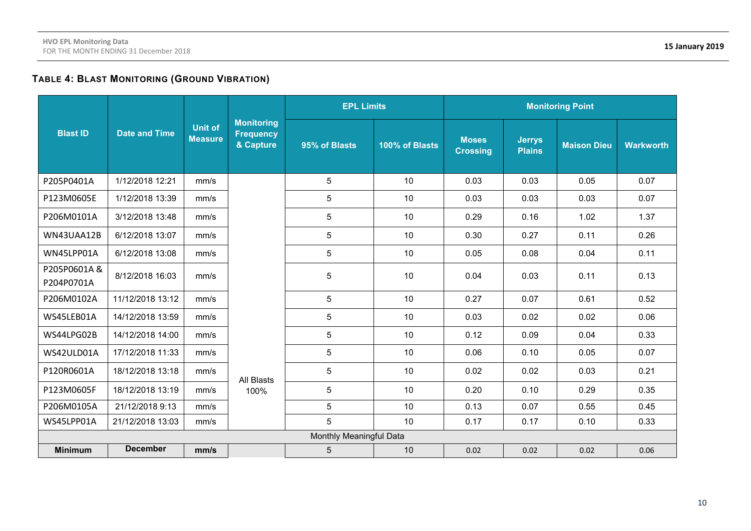### **TABLE 4: BLAST MONITORING (GROUND VIBRATION)**

|                           |                      |                                  |                                                    | <b>EPL Limits</b>       |                | <b>Monitoring Point</b>         |                                |                    |                  |
|---------------------------|----------------------|----------------------------------|----------------------------------------------------|-------------------------|----------------|---------------------------------|--------------------------------|--------------------|------------------|
| <b>Blast ID</b>           | <b>Date and Time</b> | <b>Unit of</b><br><b>Measure</b> | <b>Monitoring</b><br><b>Frequency</b><br>& Capture | 95% of Blasts           | 100% of Blasts | <b>Moses</b><br><b>Crossing</b> | <b>Jerrys</b><br><b>Plains</b> | <b>Maison Dieu</b> | <b>Warkworth</b> |
| P205P0401A                | 1/12/2018 12:21      | mm/s                             |                                                    | 5                       | 10             | 0.03                            | 0.03                           | 0.05               | 0.07             |
| P123M0605E                | 1/12/2018 13:39      | mm/s                             |                                                    | 5                       | 10             | 0.03                            | 0.03                           | 0.03               | 0.07             |
| P206M0101A                | 3/12/2018 13:48      | mm/s                             |                                                    | 5                       | 10             | 0.29                            | 0.16                           | 1.02               | 1.37             |
| WN43UAA12B                | 6/12/2018 13:07      | mm/s                             |                                                    | 5                       | 10             | 0.30                            | 0.27                           | 0.11               | 0.26             |
| WN45LPP01A                | 6/12/2018 13:08      | mm/s                             |                                                    | 5                       | 10             | 0.05                            | 0.08                           | 0.04               | 0.11             |
| P205P0601A&<br>P204P0701A | 8/12/2018 16:03      | mm/s                             |                                                    | 5                       | 10             | 0.04                            | 0.03                           | 0.11               | 0.13             |
| P206M0102A                | 11/12/2018 13:12     | mm/s                             |                                                    | 5                       | 10             | 0.27                            | 0.07                           | 0.61               | 0.52             |
| WS45LEB01A                | 14/12/2018 13:59     | mm/s                             |                                                    | 5                       | 10             | 0.03                            | 0.02                           | 0.02               | 0.06             |
| WS44LPG02B                | 14/12/2018 14:00     | mm/s                             |                                                    | 5                       | 10             | 0.12                            | 0.09                           | 0.04               | 0.33             |
| WS42ULD01A                | 17/12/2018 11:33     | mm/s                             |                                                    | 5                       | 10             | 0.06                            | 0.10                           | 0.05               | 0.07             |
| P120R0601A                | 18/12/2018 13:18     | mm/s                             | All Blasts                                         | 5                       | 10             | 0.02                            | 0.02                           | 0.03               | 0.21             |
| P123M0605F                | 18/12/2018 13:19     | mm/s                             | 100%                                               | 5                       | 10             | 0.20                            | 0.10                           | 0.29               | 0.35             |
| P206M0105A                | 21/12/2018 9:13      | mm/s                             |                                                    | 5                       | 10             | 0.13                            | 0.07                           | 0.55               | 0.45             |
| WS45LPP01A                | 21/12/2018 13:03     | mm/s                             |                                                    | 5                       | 10             | 0.17                            | 0.17                           | 0.10               | 0.33             |
|                           |                      |                                  |                                                    | Monthly Meaningful Data |                |                                 |                                |                    |                  |
| <b>Minimum</b>            | <b>December</b>      | mm/s                             |                                                    | 5                       | 10             | 0.02                            | 0.02                           | 0.02               | 0.06             |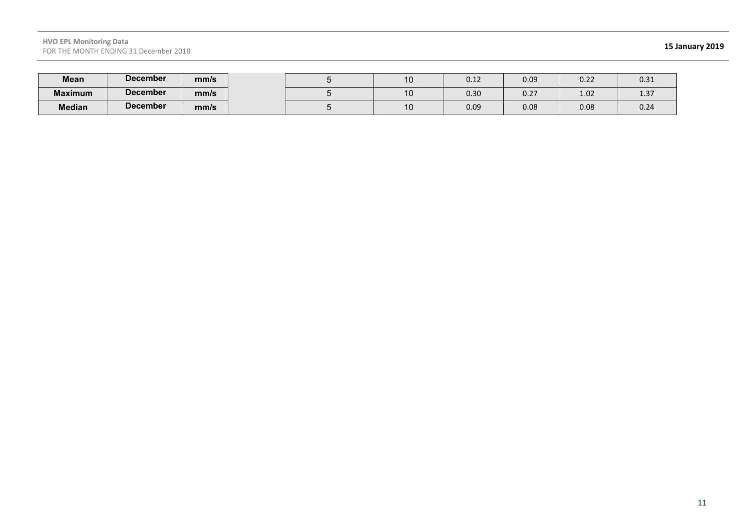#### **HVO EPL Monitoring Data** FOR THE MONTH ENDING 31 December 2018 **15 January 2019**

| Mean           | <b>December</b> | mm/s |  | ּט  | $\mathsf{A}$<br>∪.⊥∠ | 0.09 | 0.22 | 0.31                  |
|----------------|-----------------|------|--|-----|----------------------|------|------|-----------------------|
| <b>Maximum</b> | <b>December</b> | mm/s |  |     | 0.30                 | 0.27 | 1.02 | $\sim$ $\sim$<br>1.37 |
| <b>Median</b>  | <b>December</b> | mm/s |  | ט ו | 0.09                 | 0.08 | 0.08 | 0.24                  |